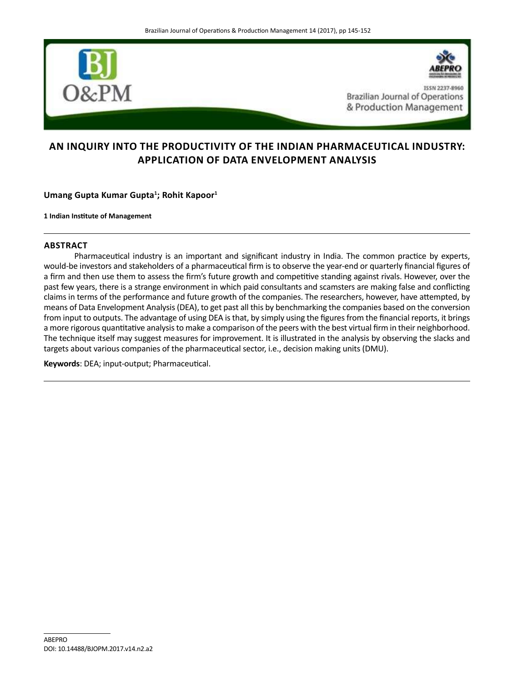

# **AN INQUIRY INTO THE PRODUCTIVITY OF THE INDIAN PHARMACEUTICAL INDUSTRY: APPLICATION OF DATA ENVELOPMENT ANALYSIS**

**Umang Gupta Kumar Gupta<sup>1</sup> ; Rohit Kapoor<sup>1</sup>**

**1 Indian Institute of Management**

# **ABSTRACT**

Pharmaceutical industry is an important and significant industry in India. The common practice by experts, would-be investors and stakeholders of a pharmaceutical firm is to observe the year-end or quarterly financial figures of a firm and then use them to assess the firm's future growth and competitive standing against rivals. However, over the past few years, there is a strange environment in which paid consultants and scamsters are making false and conflicting claims in terms of the performance and future growth of the companies. The researchers, however, have attempted, by means of Data Envelopment Analysis (DEA), to get past all this by benchmarking the companies based on the conversion from input to outputs. The advantage of using DEA is that, by simply using the figures from the financial reports, it brings a more rigorous quantitative analysis to make a comparison of the peers with the best virtual firm in their neighborhood. The technique itself may suggest measures for improvement. It is illustrated in the analysis by observing the slacks and targets about various companies of the pharmaceutical sector, i.e., decision making units (DMU).

**Keywords**: DEA; input-output; Pharmaceutical.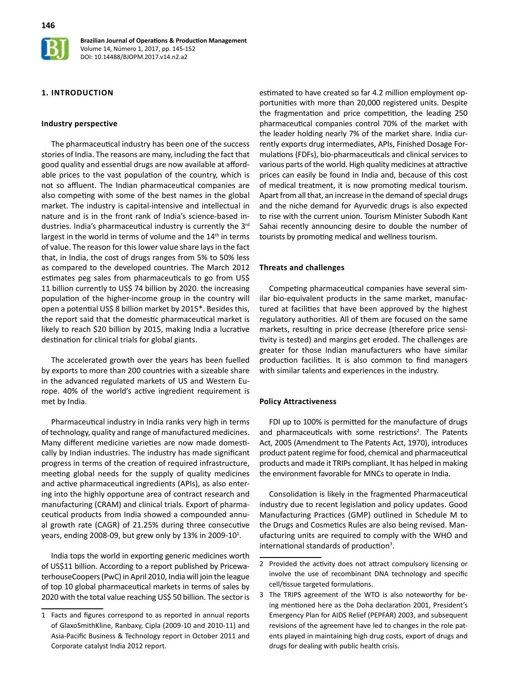

### **1. INTRODUCTION**

#### **Industry perspective**

The pharmaceutical industry has been one of the success stories of India. The reasons are many, including the fact that good quality and essential drugs are now available at affordable prices to the vast population of the country, which is not so affluent. The Indian pharmaceutical companies are also competing with some of the best names in the global market. The industry is capital-intensive and intellectual in nature and is in the front rank of India's science-based industries. India's pharmaceutical industry is currently the 3<sup>rd</sup> largest in the world in terms of volume and the 14<sup>th</sup> in terms of value. The reason for this lower value share lays in the fact that, in India, the cost of drugs ranges from 5% to 50% less as compared to the developed countries. The March 2012 estimates peg sales from pharmaceuticals to go from US\$ 11 billion currently to US\$ 74 billion by 2020. the increasing population of the higher-income group in the country will open a potential US\$ 8 billion market by 2015\*. Besides this, the report said that the domestic pharmaceutical market is likely to reach \$20 billion by 2015, making India a lucrative destination for clinical trials for global giants.

The accelerated growth over the years has been fuelled by exports to more than 200 countries with a sizeable share in the advanced regulated markets of US and Western Europe. 40% of the world's active ingredient requirement is met by India.

Pharmaceutical industry in India ranks very high in terms of technology, quality and range of manufactured medicines. Many different medicine varieties are now made domestically by Indian industries. The industry has made significant progress in terms of the creation of required infrastructure, meeting global needs for the supply of quality medicines and active pharmaceutical ingredients (APIs), as also entering into the highly opportune area of contract research and manufacturing (CRAM) and clinical trials. Export of pharmaceutical products from India showed a compounded annual growth rate (CAGR) of 21.25% during three consecutive years, ending 2008-09, but grew only by 13% in 2009-10<sup>1</sup>.

India tops the world in exporting generic medicines worth of US\$11 billion. According to a report published by PricewaterhouseCoopers (PwC) in April 2010, India will join the league of top 10 global pharmaceutical markets in terms of sales by 2020 with the total value reaching US\$ 50 billion. The sector is estimated to have created so far 4.2 million employment opportunities with more than 20,000 registered units. Despite the fragmentation and price competition, the leading 250 pharmaceutical companies control 70% of the market with the leader holding nearly 7% of the market share. India currently exports drug intermediates, APIs, Finished Dosage Formulations (FDFs), bio-pharmaceuticals and clinical services to various parts of the world. High quality medicines at attractive prices can easily be found in India and, because of this cost of medical treatment, it is now promoting medical tourism. Apart from all that, an increase in the demand of special drugs and the niche demand for Ayurvedic drugs is also expected to rise with the current union. Tourism Minister Subodh Kant Sahai recently announcing desire to double the number of tourists by promoting medical and wellness tourism.

#### **Threats and challenges**

Competing pharmaceutical companies have several similar bio-equivalent products in the same market, manufactured at facilities that have been approved by the highest regulatory authorities. All of them are focused on the same markets, resulting in price decrease (therefore price sensitivity is tested) and margins get eroded. The challenges are greater for those Indian manufacturers who have similar production facilities. It is also common to find managers with similar talents and experiences in the industry.

#### **Policy Attractiveness**

FDI up to 100% is permitted for the manufacture of drugs and pharmaceuticals with some restrictions<sup>2</sup>. The Patents Act, 2005 (Amendment to The Patents Act, 1970), introduces product patent regime for food, chemical and pharmaceutical products and made it TRIPs compliant. It has helped in making the environment favorable for MNCs to operate in India.

Consolidation is likely in the fragmented Pharmaceutical industry due to recent legislation and policy updates. Good Manufacturing Practices (GMP) outlined in Schedule M to the Drugs and Cosmetics Rules are also being revised. Manufacturing units are required to comply with the WHO and international standards of production<sup>3</sup>.

<sup>1</sup> Facts and figures correspond to as reported in annual reports of GlaxoSmithKline, Ranbaxy, Cipla (2009-10 and 2010-11) and Asia-Pacific Business & Technology report in October 2011 and Corporate catalyst India 2012 report.

<sup>2</sup> Provided the activity does not attract compulsory licensing or involve the use of recombinant DNA technology and specific cell/tissue targeted formulations.

<sup>3</sup> The TRIPS agreement of the WTO is also noteworthy for being mentioned here as the Doha declaration 2001, President's Emergency Plan for AIDS Relief (PEPFAR) 2003, and subsequent revisions of the agreement have led to changes in the role patents played in maintaining high drug costs, export of drugs and drugs for dealing with public health crisis.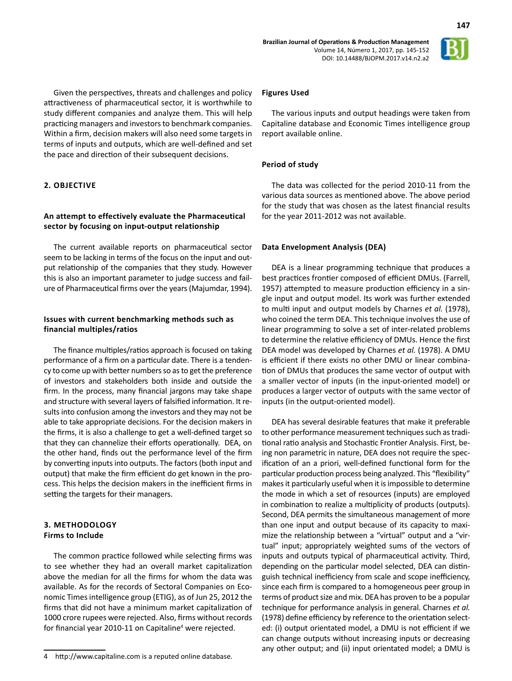

**147**

Given the perspectives, threats and challenges and policy attractiveness of pharmaceutical sector, it is worthwhile to study different companies and analyze them. This will help practicing managers and investors to benchmark companies. Within a firm, decision makers will also need some targets in terms of inputs and outputs, which are well-defined and set the pace and direction of their subsequent decisions.

# **2. OBJECTIVE**

# **An attempt to effectively evaluate the Pharmaceutical sector by focusing on input-output relationship**

The current available reports on pharmaceutical sector seem to be lacking in terms of the focus on the input and output relationship of the companies that they study. However this is also an important parameter to judge success and failure of Pharmaceutical firms over the years (Majumdar, 1994).

# **Issues with current benchmarking methods such as financial multiples/ratios**

The finance multiples/ratios approach is focused on taking performance of a firm on a particular date. There is a tendency to come up with better numbers so as to get the preference of investors and stakeholders both inside and outside the firm. In the process, many financial jargons may take shape and structure with several layers of falsified information. It results into confusion among the investors and they may not be able to take appropriate decisions. For the decision makers in the firms, it is also a challenge to get a well-defined target so that they can channelize their efforts operationally. DEA, on the other hand, finds out the performance level of the firm by converting inputs into outputs. The factors (both input and output) that make the firm efficient do get known in the process. This helps the decision makers in the inefficient firms in setting the targets for their managers.

### **3. METHODOLOGY Firms to Include**

The common practice followed while selecting firms was to see whether they had an overall market capitalization above the median for all the firms for whom the data was available. As for the records of Sectoral Companies on Economic Times intelligence group (ETIG), as of Jun 25, 2012 the firms that did not have a minimum market capitalization of 1000 crore rupees were rejected. Also, firms without records for financial year 2010-11 on Capitaline<sup>4</sup> were rejected.

#### **Figures Used**

The various inputs and output headings were taken from Capitaline database and Economic Times intelligence group report available online.

### **Period of study**

The data was collected for the period 2010-11 from the various data sources as mentioned above. The above period for the study that was chosen as the latest financial results for the year 2011-2012 was not available.

### **Data Envelopment Analysis (DEA)**

DEA is a linear programming technique that produces a best practices frontier composed of efficient DMUs. (Farrell, 1957) attempted to measure production efficiency in a single input and output model. Its work was further extended to multi input and output models by Charnes *et al.* (1978), who coined the term DEA. This technique involves the use of linear programming to solve a set of inter-related problems to determine the relative efficiency of DMUs. Hence the first DEA model was developed by Charnes *et al.* (1978). A DMU is efficient if there exists no other DMU or linear combination of DMUs that produces the same vector of output with a smaller vector of inputs (in the input-oriented model) or produces a larger vector of outputs with the same vector of inputs (in the output-oriented model).

DEA has several desirable features that make it preferable to other performance measurement techniques such as traditional ratio analysis and Stochastic Frontier Analysis. First, being non parametric in nature, DEA does not require the specification of an a priori, well-defined functional form for the particular production process being analyzed. This "flexibility" makes it particularly useful when it is impossible to determine the mode in which a set of resources (inputs) are employed in combination to realize a multiplicity of products (outputs). Second, DEA permits the simultaneous management of more than one input and output because of its capacity to maximize the relationship between a "virtual" output and a "virtual" input; appropriately weighted sums of the vectors of inputs and outputs typical of pharmaceutical activity. Third, depending on the particular model selected, DEA can distinguish technical inefficiency from scale and scope inefficiency, since each firm is compared to a homogeneous peer group in terms of product size and mix. DEA has proven to be a popular technique for performance analysis in general. Charnes *et al.* (1978) define efficiency by reference to the orientation selected: (i) output orientated model, a DMU is not efficient if we can change outputs without increasing inputs or decreasing any other output; and (ii) input orientated model; a DMU is

<sup>4</sup> http://www.capitaline.com is a reputed online database.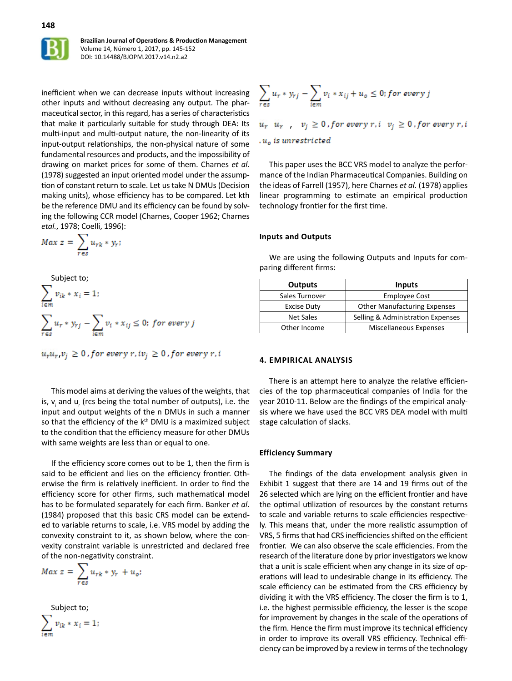

inefficient when we can decrease inputs without increasing other inputs and without decreasing any output. The pharmaceutical sector, in this regard, has a series of characteristics that make it particularly suitable for study through DEA: Its multi-input and multi-output nature, the non-linearity of its input-output relationships, the non-physical nature of some fundamental resources and products, and the impossibility of drawing on market prices for some of them. Charnes *et al.* (1978) suggested an input oriented model under the assumption of constant return to scale. Let us take N DMUs (Decision making units), whose efficiency has to be compared. Let kth be the reference DMU and its efficiency can be found by solving the following CCR model (Charnes, Cooper 1962; Charnes *etal.*, 1978; Coelli, 1996):

$$
Max z = \sum_{r \in s} u_{rk} * y_r;
$$

Subject to;  
\n
$$
\sum_{i \in m} v_{ik} * x_i = 1;
$$
\n
$$
\sum_{r \in s} u_r * y_{rj} - \sum_{i \in m} v_i * x_{ij} \leq 0; \text{ for every } j
$$

 $u_ru_r, v_i \geq 0$ , for every r, i $v_i \geq 0$ , for every r, i

This model aims at deriving the values of the weights, that is,  $v_i$  and  $u_i$  (res being the total number of outputs), i.e. the input and output weights of the n DMUs in such a manner so that the efficiency of the k<sup>th</sup> DMU is a maximized subject to the condition that the efficiency measure for other DMUs with same weights are less than or equal to one.

If the efficiency score comes out to be 1, then the firm is said to be efficient and lies on the efficiency frontier. Otherwise the firm is relatively inefficient. In order to find the efficiency score for other firms, such mathematical model has to be formulated separately for each firm. Banker *et al.* (1984) proposed that this basic CRS model can be extended to variable returns to scale, i.e. VRS model by adding the convexity constraint to it, as shown below, where the convexity constraint variable is unrestricted and declared free of the non-negativity constraint.

$$
Max z = \sum_{r \in s} u_{rk} * y_r + u_o;
$$

Subject to;

$$
\sum_{i \in m} v_{ik} * x_i = 1;
$$

$$
\sum_{r \in s} u_r * y_{rj} - \sum_{i \in m} v_i * x_{ij} + u_o \leq 0; for every j
$$

 $u_r$   $u_r$ ,  $v_j \ge 0$ , for every  $r, i$   $v_j \ge 0$ , for every  $r, i$  $u<sub>o</sub>$  is unrestricted

This paper uses the BCC VRS model to analyze the performance of the Indian Pharmaceutical Companies. Building on the ideas of Farrell (1957), here Charnes *et al.* (1978) applies linear programming to estimate an empirical production technology frontier for the first time.

#### **Inputs and Outputs**

We are using the following Outputs and Inputs for comparing different firms:

| <b>Outputs</b>     | <b>Inputs</b>                       |
|--------------------|-------------------------------------|
| Sales Turnover     | <b>Employee Cost</b>                |
| <b>Excise Duty</b> | <b>Other Manufacturing Expenses</b> |
| <b>Net Sales</b>   | Selling & Administration Expenses   |
| Other Income       | Miscellaneous Expenses              |

### **4. EMPIRICAL ANALYSIS**

There is an attempt here to analyze the relative efficiencies of the top pharmaceutical companies of India for the year 2010-11. Below are the findings of the empirical analysis where we have used the BCC VRS DEA model with multi stage calculation of slacks.

#### **Efficiency Summary**

The findings of the data envelopment analysis given in Exhibit 1 suggest that there are 14 and 19 firms out of the 26 selected which are lying on the efficient frontier and have the optimal utilization of resources by the constant returns to scale and variable returns to scale efficiencies respectively. This means that, under the more realistic assumption of VRS, 5 firms that had CRS inefficiencies shifted on the efficient frontier. We can also observe the scale efficiencies. From the research of the literature done by prior investigators we know that a unit is scale efficient when any change in its size of operations will lead to undesirable change in its efficiency. The scale efficiency can be estimated from the CRS efficiency by dividing it with the VRS efficiency. The closer the firm is to 1, i.e. the highest permissible efficiency, the lesser is the scope for improvement by changes in the scale of the operations of the firm. Hence the firm must improve its technical efficiency in order to improve its overall VRS efficiency. Technical efficiency can be improved by a review in terms of the technology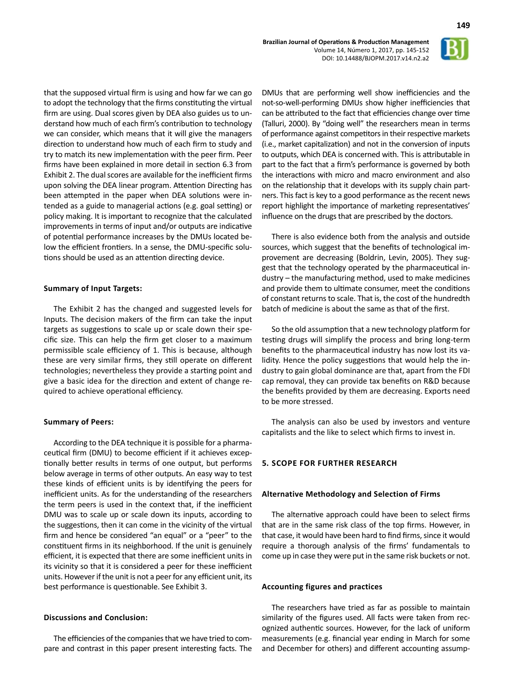

that the supposed virtual firm is using and how far we can go to adopt the technology that the firms constituting the virtual firm are using. Dual scores given by DEA also guides us to understand how much of each firm's contribution to technology we can consider, which means that it will give the managers direction to understand how much of each firm to study and try to match its new implementation with the peer firm. Peer firms have been explained in more detail in section 6.3 from Exhibit 2. The dual scores are available for the inefficient firms upon solving the DEA linear program. Attention Directing has been attempted in the paper when DEA solutions were intended as a guide to managerial actions (e.g. goal setting) or policy making. It is important to recognize that the calculated improvements in terms of input and/or outputs are indicative of potential performance increases by the DMUs located below the efficient frontiers. In a sense, the DMU-specific solutions should be used as an attention directing device.

### **Summary of Input Targets:**

The Exhibit 2 has the changed and suggested levels for Inputs. The decision makers of the firm can take the input targets as suggestions to scale up or scale down their specific size. This can help the firm get closer to a maximum permissible scale efficiency of 1. This is because, although these are very similar firms, they still operate on different technologies; nevertheless they provide a starting point and give a basic idea for the direction and extent of change required to achieve operational efficiency.

### **Summary of Peers:**

According to the DEA technique it is possible for a pharmaceutical firm (DMU) to become efficient if it achieves exceptionally better results in terms of one output, but performs below average in terms of other outputs. An easy way to test these kinds of efficient units is by identifying the peers for inefficient units. As for the understanding of the researchers the term peers is used in the context that, if the inefficient DMU was to scale up or scale down its inputs, according to the suggestions, then it can come in the vicinity of the virtual firm and hence be considered "an equal" or a "peer" to the constituent firms in its neighborhood. If the unit is genuinely efficient, it is expected that there are some inefficient units in its vicinity so that it is considered a peer for these inefficient units. However if the unit is not a peer for any efficient unit, its best performance is questionable. See Exhibit 3.

# **Discussions and Conclusion:**

The efficiencies of the companies that we have tried to compare and contrast in this paper present interesting facts. The

DMUs that are performing well show inefficiencies and the not-so-well-performing DMUs show higher inefficiencies that can be attributed to the fact that efficiencies change over time (Talluri, 2000). By "doing well" the researchers mean in terms of performance against competitors in their respective markets (i.e., market capitalization) and not in the conversion of inputs to outputs, which DEA is concerned with. This is attributable in part to the fact that a firm's performance is governed by both the interactions with micro and macro environment and also on the relationship that it develops with its supply chain partners. This fact is key to a good performance as the recent news report highlight the importance of marketing representatives' influence on the drugs that are prescribed by the doctors.

There is also evidence both from the analysis and outside sources, which suggest that the benefits of technological improvement are decreasing (Boldrin, Levin, 2005). They suggest that the technology operated by the pharmaceutical industry – the manufacturing method, used to make medicines and provide them to ultimate consumer, meet the conditions of constant returns to scale. That is, the cost of the hundredth batch of medicine is about the same as that of the first.

So the old assumption that a new technology platform for testing drugs will simplify the process and bring long-term benefits to the pharmaceutical industry has now lost its validity. Hence the policy suggestions that would help the industry to gain global dominance are that, apart from the FDI cap removal, they can provide tax benefits on R&D because the benefits provided by them are decreasing. Exports need to be more stressed.

The analysis can also be used by investors and venture capitalists and the like to select which firms to invest in.

### **5. SCOPE FOR FURTHER RESEARCH**

#### **Alternative Methodology and Selection of Firms**

The alternative approach could have been to select firms that are in the same risk class of the top firms. However, in that case, it would have been hard to find firms, since it would require a thorough analysis of the firms' fundamentals to come up in case they were put in the same risk buckets or not.

#### **Accounting figures and practices**

The researchers have tried as far as possible to maintain similarity of the figures used. All facts were taken from recognized authentic sources. However, for the lack of uniform measurements (e.g. financial year ending in March for some and December for others) and different accounting assump-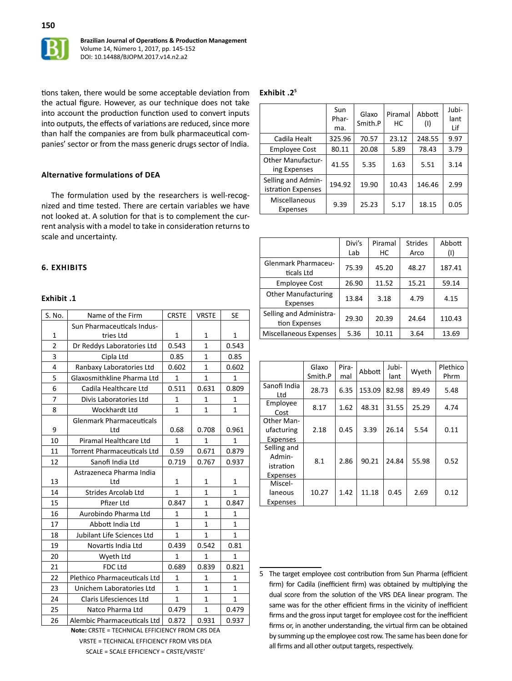

tions taken, there would be some acceptable deviation from the actual figure. However, as our technique does not take into account the production function used to convert inputs into outputs, the effects of variations are reduced, since more than half the companies are from bulk pharmaceutical companies' sector or from the mass generic drugs sector of India.

### **Alternative formulations of DEA**

The formulation used by the researchers is well-recognized and time tested. There are certain variables we have not looked at. A solution for that is to complement the current analysis with a model to take in consideration returns to scale and uncertainty.

### **6. EXHIBITS**

### **Exhibit .1**

| S. No.         | Name of the Firm                   | <b>CRSTE</b> | <b>VRSTE</b> | <b>SE</b>    |
|----------------|------------------------------------|--------------|--------------|--------------|
|                | Sun Pharmaceuticals Indus-         |              |              |              |
| 1              | tries Ltd                          | $\mathbf{1}$ | 1            | 1            |
| $\overline{2}$ | Dr Reddys Laboratories Ltd         | 0.543        | 1            | 0.543        |
| 3              | Cipla Ltd                          | 0.85         | $\mathbf{1}$ | 0.85         |
| 4              | Ranbaxy Laboratories Ltd           | 0.602        | $\mathbf{1}$ | 0.602        |
| 5              | Glaxosmithkline Pharma Ltd         | 1            | 1            | 1            |
| 6              | Cadila Healthcare Ltd              | 0.511        | 0.631        | 0.809        |
| 7              | Divis Laboratories Ltd             | 1            | 1            | 1            |
| 8              | Wockhardt Ltd                      | $\mathbf{1}$ | $\mathbf{1}$ | $\mathbf{1}$ |
|                | <b>Glenmark Pharmaceuticals</b>    |              |              |              |
| 9              | Ltd                                | 0.68         | 0.708        | 0.961        |
| 10             | Piramal Healthcare Ltd             | 1            | 1            | 1            |
| 11             | <b>Torrent Pharmaceuticals Ltd</b> | 0.59         | 0.671        | 0.879        |
| 12             | Sanofi India Ltd                   | 0.719        | 0.767        | 0.937        |
|                | Astrazeneca Pharma India           |              |              |              |
| 13             | Ltd                                | $\mathbf{1}$ | $\mathbf{1}$ | $\mathbf{1}$ |
| 14             | <b>Strides Arcolab Ltd</b>         | $\mathbf{1}$ | $\mathbf{1}$ | $\mathbf{1}$ |
| 15             | Pfizer Ltd                         | 0.847        | $\mathbf{1}$ | 0.847        |
| 16             | Aurobindo Pharma Ltd               | $\mathbf{1}$ | $\mathbf{1}$ | $\mathbf{1}$ |
| 17             | Abbott India Ltd                   | $\mathbf{1}$ | $\mathbf{1}$ | $\mathbf{1}$ |
| 18             | Jubilant Life Sciences Ltd         | $\mathbf{1}$ | $\mathbf{1}$ | $\mathbf{1}$ |
| 19             | Novartis India Ltd                 | 0.439        | 0.542        | 0.81         |
| 20             | Wyeth Ltd                          | $\mathbf{1}$ | $\mathbf{1}$ | $\mathbf{1}$ |
| 21             | <b>FDC Ltd</b>                     | 0.689        | 0.839        | 0.821        |
| 22             | Plethico Pharmaceuticals Ltd       | $\mathbf{1}$ | $\mathbf{1}$ | $\mathbf{1}$ |
| 23             | Unichem Laboratories Ltd           | 1            | $\mathbf{1}$ | 1            |
| 24             | Claris Lifesciences Ltd            | $\mathbf{1}$ | $\mathbf{1}$ | $\mathbf{1}$ |
| 25             | Natco Pharma Ltd                   | 0.479        | 1            | 0.479        |
| 26             | Alembic Pharmaceuticals Ltd        | 0.872        | 0.931        | 0.937        |

**Note:** CRSTE = TECHNICAL EFFICIENCY FROM CRS DEA VRSTE = TECHNICAL EFFICIENCY FROM VRS DEA SCALE = SCALE EFFICIENCY = CRSTE/VRSTE'

### **Exhibit .2<sup>5</sup>**

|                                          | Sun<br>Phar-<br>ma. | Glaxo<br>Smith.P | Piramal<br>НC | Abbott<br>(1) | Jubi-<br>lant<br>Lif |
|------------------------------------------|---------------------|------------------|---------------|---------------|----------------------|
| Cadila Healt                             | 325.96              | 70.57            | 23.12         | 248.55        | 9.97                 |
| <b>Employee Cost</b>                     | 80.11               | 20.08            | 5.89          | 78.43         | 3.79                 |
| <b>Other Manufactur-</b><br>ing Expenses | 41.55               | 5.35             | 1.63          | 5.51          | 3.14                 |
| Selling and Admin-<br>istration Expenses | 194.92              | 19.90            | 10.43         | 146.46        | 2.99                 |
| Miscellaneous<br>Expenses                | 9.39                | 25.23            | 5.17          | 18.15         | 0.05                 |

|                                               | Divi's<br>Lab | Piramal<br>НC | <b>Strides</b><br>Arco | Abbott<br>(1) |
|-----------------------------------------------|---------------|---------------|------------------------|---------------|
| <b>Glenmark Pharmaceu-</b><br>ticals Ltd      | 75.39         | 45.20         | 48.27                  | 187.41        |
| <b>Employee Cost</b>                          | 26.90         | 11.52         | 15.21                  | 59.14         |
| <b>Other Manufacturing</b><br><b>Expenses</b> | 13.84         | 3.18          | 4.79                   | 4.15          |
| Selling and Administra-<br>tion Expenses      | 29.30         | 20.39         | 24.64                  | 110.43        |
| Miscellaneous Expenses                        | 5.36          | 10.11         | 3.64                   | 13.69         |

|                     | Glaxo   | Pira- | Jubi-<br>Abbott | Wyeth | Plethico |      |
|---------------------|---------|-------|-----------------|-------|----------|------|
|                     | Smith.P | mal   |                 | lant  |          | Phrm |
| Sanofi India<br>Ltd | 28.73   | 6.35  | 153.09          | 82.98 | 89.49    | 5.48 |
| Employee            |         | 1.62  |                 |       | 25.29    |      |
| Cost                | 8.17    |       | 48.31           | 31.55 |          | 4.74 |
| Other Man-          |         |       |                 |       |          |      |
| ufacturing          | 2.18    | 0.45  | 3.39            | 26.14 | 5.54     | 0.11 |
| Expenses            |         |       |                 |       |          |      |
| Selling and         |         |       |                 |       |          |      |
| Admin-              | 8.1     | 2.86  | 90.21           | 24.84 | 55.98    | 0.52 |
| istration           |         |       |                 |       |          |      |
| Expenses            |         |       |                 |       |          |      |
| Miscel-             |         |       |                 |       |          |      |
| laneous             | 10.27   | 1.42  | 11.18           | 0.45  | 2.69     | 0.12 |
| Expenses            |         |       |                 |       |          |      |

<sup>5</sup> The target employee cost contribution from Sun Pharma (efficient firm) for Cadila (inefficient firm) was obtained by multiplying the dual score from the solution of the VRS DEA linear program. The same was for the other efficient firms in the vicinity of inefficient firms and the gross input target for employee cost for the inefficient firms or, in another understanding, the virtual firm can be obtained by summing up the employee cost row. The same has been done for all firms and all other output targets, respectively.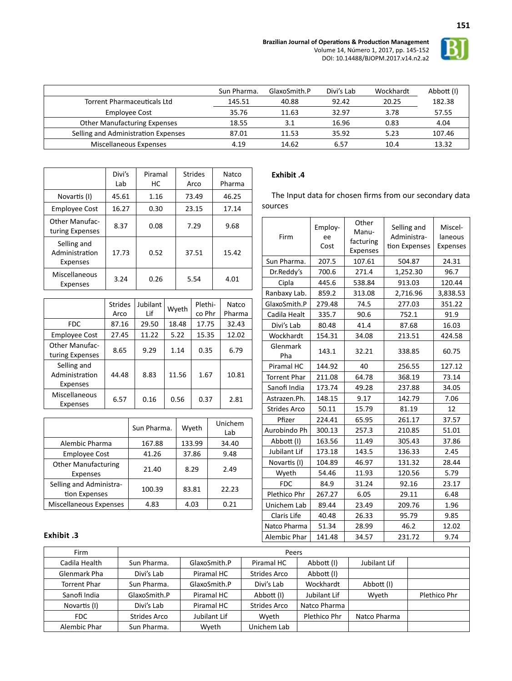

**151**

|                                     | Sun Pharma. | GlaxoSmith.P | Divi's Lab | Wockhardt | Abbott (I) |
|-------------------------------------|-------------|--------------|------------|-----------|------------|
| <b>Torrent Pharmaceuticals Ltd</b>  | 145.51      | 40.88        | 92.42      | 20.25     | 182.38     |
| Employee Cost                       | 35.76       | 11.63        | 32.97      | 3.78      | 57.55      |
| <b>Other Manufacturing Expenses</b> | 18.55       | 3.1          | 16.96      | 0.83      | 4.04       |
| Selling and Administration Expenses | 87.01       | 11.53        | 35.92      | 5.23      | 107.46     |
| Miscellaneous Expenses              | 4.19        | 14.62        | 6.57       | 10.4      | 13.32      |

|                                           | Divi's<br>Lab | Piramal<br>НC | <b>Strides</b><br>Arco | Natco<br>Pharma |
|-------------------------------------------|---------------|---------------|------------------------|-----------------|
| Novartis (I)                              | 45.61         | 1.16          | 73.49                  | 46.25           |
| <b>Employee Cost</b>                      | 16.27         | 0.30          | 23.15                  | 17.14           |
| <b>Other Manufac-</b><br>turing Expenses  | 8.37          | 0.08          | 7.29                   | 9.68            |
| Selling and<br>Administration<br>Expenses | 17.73         | 0.52          | 37.51                  | 15.42           |
| Miscellaneous<br>Expenses                 | 3.24          | 0.26          | 5.54                   | 4.01            |

|                                           | <b>Strides</b><br>Arco | Jubilant<br>Lif | Wyeth | Plethi-<br>co Phr | Natco<br>Pharma |
|-------------------------------------------|------------------------|-----------------|-------|-------------------|-----------------|
| <b>FDC</b>                                | 87.16                  | 29.50           | 18.48 | 17.75             | 32.43           |
| <b>Employee Cost</b>                      | 27.45                  | 11.22           | 5.22  | 15.35             | 12.02           |
| <b>Other Manufac-</b><br>turing Expenses  | 8.65                   | 9.29            | 1.14  | 0.35              | 6.79            |
| Selling and<br>Administration<br>Expenses | 44.48                  | 8.83            | 11.56 | 1.67              | 10.81           |
| <b>Miscellaneous</b><br>Expenses          | 6.57                   | 0.16            | 0.56  | 0.37              | 2.81            |

|                                          | Sun Pharma. | Wyeth  | Unichem<br>Lab |
|------------------------------------------|-------------|--------|----------------|
| Alembic Pharma                           | 167.88      | 133.99 | 34.40          |
| <b>Employee Cost</b>                     | 41.26       | 37.86  | 9.48           |
| <b>Other Manufacturing</b><br>Expenses   | 21.40       | 8.29   | 2.49           |
| Selling and Administra-<br>tion Expenses | 100.39      | 83.81  | 22.23          |
| <b>Miscellaneous Expenses</b>            | 4.83        | 4.03   | 0.21           |

# **Exhibit .4**

The Input data for chosen firms from our secondary data sources

| Firm                | Employ-<br>ee<br>Cost | Other<br>Manu-<br>facturing<br><b>Expenses</b> | Selling and<br>Administra-<br>tion Expenses | Miscel-<br>laneous<br><b>Expenses</b> |
|---------------------|-----------------------|------------------------------------------------|---------------------------------------------|---------------------------------------|
| Sun Pharma.         | 207.5                 | 107.61                                         | 504.87                                      | 24.31                                 |
| Dr.Reddy's          | 700.6                 | 271.4                                          | 1,252.30                                    | 96.7                                  |
| Cipla               | 445.6                 | 538.84                                         | 913.03                                      | 120.44                                |
| Ranbaxy Lab.        | 859.2                 | 313.08                                         | 2,716.96                                    | 3,838.53                              |
| GlaxoSmith.P        | 279.48                | 74.5                                           | 277.03                                      | 351.22                                |
| Cadila Healt        | 335.7                 | 90.6                                           | 752.1                                       | 91.9                                  |
| Divi's Lab          | 80.48                 | 41.4                                           | 87.68                                       | 16.03                                 |
| Wockhardt           | 154.31                | 34.08                                          | 213.51                                      | 424.58                                |
| Glenmark<br>Pha     | 143.1                 | 32.21                                          | 338.85                                      | 60.75                                 |
| Piramal HC          | 144.92                | 40                                             | 256.55                                      | 127.12                                |
| <b>Torrent Phar</b> | 211.08                | 64.78                                          | 368.19                                      | 73.14                                 |
| Sanofi India        | 173.74                | 49.28                                          | 237.88                                      | 34.05                                 |
| Astrazen.Ph.        | 148.15                | 9.17                                           | 142.79                                      | 7.06                                  |
| <b>Strides Arco</b> | 50.11                 | 15.79                                          | 81.19                                       | 12                                    |
| Pfizer              | 224.41                | 65.95                                          | 261.17                                      | 37.57                                 |
| Aurobindo Ph        | 300.13                | 257.3                                          | 210.85                                      | 51.01                                 |
| Abbott (I)          | 163.56                | 11.49                                          | 305.43                                      | 37.86                                 |
| Jubilant Lif        | 173.18                | 143.5                                          | 136.33                                      | 2.45                                  |
| Novartis (I)        | 104.89                | 46.97                                          | 131.32                                      | 28.44                                 |
| Wyeth               | 54.46                 | 11.93                                          | 120.56                                      | 5.79                                  |
| <b>FDC</b>          | 84.9                  | 31.24                                          | 92.16                                       | 23.17                                 |
| Plethico Phr        | 267.27                | 6.05                                           | 29.11                                       | 6.48                                  |
| Unichem Lab         | 89.44                 | 23.49                                          | 209.76                                      | 1.96                                  |
| Claris Life         | 40.48                 | 26.33                                          | 95.79                                       | 9.85                                  |
| Natco Pharma        | 51.34                 | 28.99                                          | 46.2                                        | 12.02                                 |
| Alembic Phar        | 141.48                | 34.57                                          | 231.72                                      | 9.74                                  |

# **Exhibit .3**

| Firm                | Peers               |              |                     |              |              |              |
|---------------------|---------------------|--------------|---------------------|--------------|--------------|--------------|
| Cadila Health       | Sun Pharma.         | GlaxoSmith.P | Piramal HC          | Abbott (I)   | Jubilant Lif |              |
| Glenmark Pha        | Divi's Lab          | Piramal HC   | Strides Arco        | Abbott (I)   |              |              |
| <b>Torrent Phar</b> | Sun Pharma.         | GlaxoSmith.P | Divi's Lab          | Wockhardt    | Abbott (I)   |              |
| Sanofi India        | GlaxoSmith.P        | Piramal HC   | Abbott (I)          | Jubilant Lif | Wyeth        | Plethico Phr |
| Novartis (I)        | Divi's Lab          | Piramal HC   | <b>Strides Arco</b> | Natco Pharma |              |              |
| <b>FDC</b>          | <b>Strides Arco</b> | Jubilant Lif | Wyeth               | Plethico Phr | Natco Pharma |              |
| Alembic Phar        | Sun Pharma.         | Wveth        | Unichem Lab         |              |              |              |